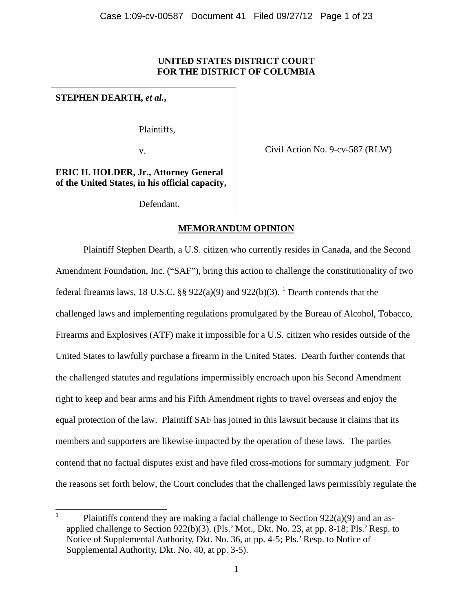# **UNITED STATES DISTRICT COURT FOR THE DISTRICT OF COLUMBIA**

# **STEPHEN DEARTH,** *et al.***,**

Plaintiffs,

v.

Civil Action No. 9-cv-587 (RLW)

**ERIC H. HOLDER, Jr., Attorney General of the United States, in his official capacity,**

Defendant.

# **MEMORANDUM OPINION**

Plaintiff Stephen Dearth, a U.S. citizen who currently resides in Canada, and the Second Amendment Foundation, Inc. ("SAF"), bring this action to challenge the constitutionality of two federal firearms laws, 18 U.S.C. §§  $922(a)(9)$  and  $922(b)(3)$ . <sup>1</sup> Dearth contends that the challenged laws and implementing regulations promulgated by the Bureau of Alcohol, Tobacco, Firearms and Explosives (ATF) make it impossible for a U.S. citizen who resides outside of the United States to lawfully purchase a firearm in the United States. Dearth further contends that the challenged statutes and regulations impermissibly encroach upon his Second Amendment right to keep and bear arms and his Fifth Amendment rights to travel overseas and enjoy the equal protection of the law. Plaintiff SAF has joined in this lawsuit because it claims that its members and supporters are likewise impacted by the operation of these laws. The parties contend that no factual disputes exist and have filed cross-motions for summary judgment. For the reasons set forth below, the Court concludes that the challenged laws permissibly regulate the

 <sup>1</sup> Plaintiffs contend they are making a facial challenge to Section 922(a)(9) and an asapplied challenge to Section 922(b)(3). (Pls.' Mot., Dkt. No. 23, at pp. 8-18; Pls.' Resp. to Notice of Supplemental Authority, Dkt. No. 36, at pp. 4-5; Pls.' Resp. to Notice of Supplemental Authority, Dkt. No. 40, at pp. 3-5).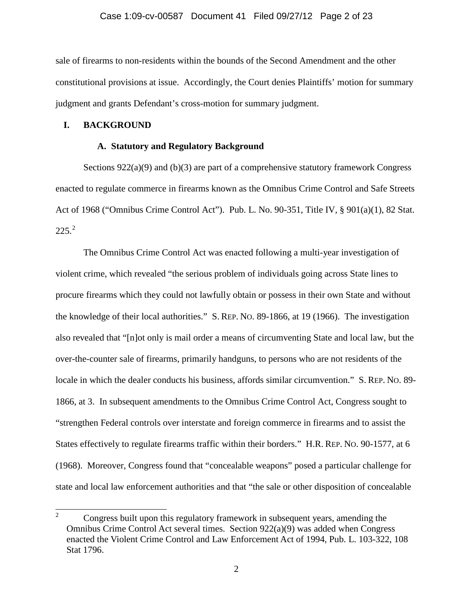#### Case 1:09-cv-00587 Document 41 Filed 09/27/12 Page 2 of 23

sale of firearms to non-residents within the bounds of the Second Amendment and the other constitutional provisions at issue. Accordingly, the Court denies Plaintiffs' motion for summary judgment and grants Defendant's cross-motion for summary judgment.

### **I. BACKGROUND**

### **A. Statutory and Regulatory Background**

Sections 922(a)(9) and (b)(3) are part of a comprehensive statutory framework Congress enacted to regulate commerce in firearms known as the Omnibus Crime Control and Safe Streets Act of 1968 ("Omnibus Crime Control Act"). Pub. L. No. 90-351, Title IV, § 901(a)(1), 82 Stat.  $225.<sup>2</sup>$ 

The Omnibus Crime Control Act was enacted following a multi-year investigation of violent crime, which revealed "the serious problem of individuals going across State lines to procure firearms which they could not lawfully obtain or possess in their own State and without the knowledge of their local authorities." S. REP. NO. 89-1866, at 19 (1966). The investigation also revealed that "[n]ot only is mail order a means of circumventing State and local law, but the over-the-counter sale of firearms, primarily handguns, to persons who are not residents of the locale in which the dealer conducts his business, affords similar circumvention." S. REP. NO. 89- 1866, at 3. In subsequent amendments to the Omnibus Crime Control Act, Congress sought to "strengthen Federal controls over interstate and foreign commerce in firearms and to assist the States effectively to regulate firearms traffic within their borders." H.R. REP. NO. 90-1577, at 6 (1968). Moreover, Congress found that "concealable weapons" posed a particular challenge for state and local law enforcement authorities and that "the sale or other disposition of concealable

 <sup>2</sup> Congress built upon this regulatory framework in subsequent years, amending the Omnibus Crime Control Act several times. Section  $922(a)(9)$  was added when Congress enacted the Violent Crime Control and Law Enforcement Act of 1994, Pub. L. 103-322, 108 Stat 1796.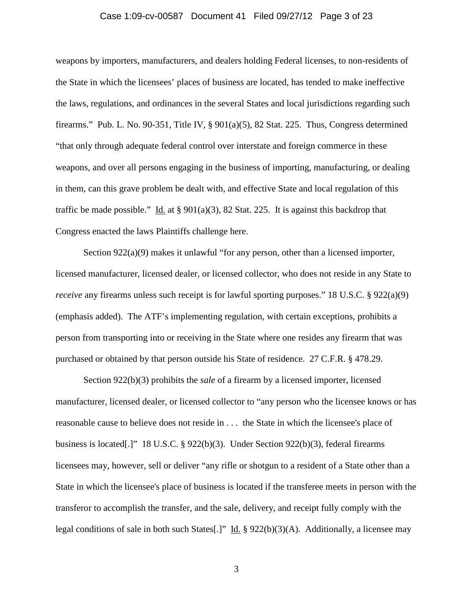#### Case 1:09-cv-00587 Document 41 Filed 09/27/12 Page 3 of 23

weapons by importers, manufacturers, and dealers holding Federal licenses, to non-residents of the State in which the licensees' places of business are located, has tended to make ineffective the laws, regulations, and ordinances in the several States and local jurisdictions regarding such firearms." Pub. L. No. 90-351, Title IV,  $\S$  901(a)(5), 82 Stat. 225. Thus, Congress determined "that only through adequate federal control over interstate and foreign commerce in these weapons, and over all persons engaging in the business of importing, manufacturing, or dealing in them, can this grave problem be dealt with, and effective State and local regulation of this traffic be made possible." Id. at §  $901(a)(3)$ , 82 Stat. 225. It is against this backdrop that Congress enacted the laws Plaintiffs challenge here.

Section 922(a)(9) makes it unlawful "for any person, other than a licensed importer, licensed manufacturer, licensed dealer, or licensed collector, who does not reside in any State to *receive* any firearms unless such receipt is for lawful sporting purposes." 18 U.S.C. § 922(a)(9) (emphasis added). The ATF's implementing regulation, with certain exceptions, prohibits a person from transporting into or receiving in the State where one resides any firearm that was purchased or obtained by that person outside his State of residence. 27 C.F.R. § 478.29.

Section 922(b)(3) prohibits the *sale* of a firearm by a licensed importer, licensed manufacturer, licensed dealer, or licensed collector to "any person who the licensee knows or has reasonable cause to believe does not reside in . . . the State in which the licensee's place of business is located[.]" 18 U.S.C. § 922(b)(3). Under Section 922(b)(3), federal firearms licensees may, however, sell or deliver "any rifle or shotgun to a resident of a State other than a State in which the licensee's place of business is located if the transferee meets in person with the transferor to accomplish the transfer, and the sale, delivery, and receipt fully comply with the legal conditions of sale in both such States[.]" Id.  $\S 922(b)(3)(A)$ . Additionally, a licensee may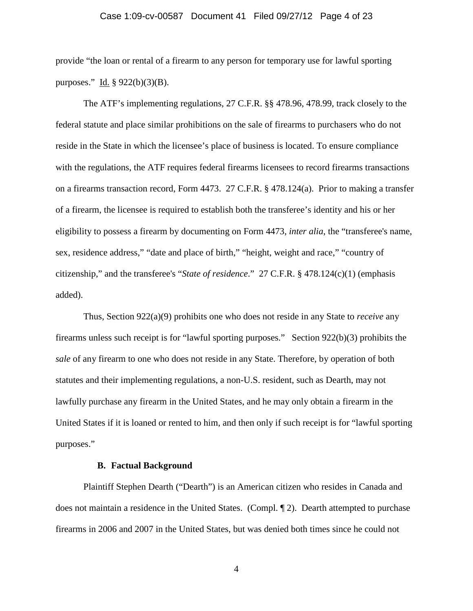### Case 1:09-cv-00587 Document 41 Filed 09/27/12 Page 4 of 23

provide "the loan or rental of a firearm to any person for temporary use for lawful sporting purposes." Id. § 922(b)(3)(B).

The ATF's implementing regulations, 27 C.F.R. §§ 478.96, 478.99, track closely to the federal statute and place similar prohibitions on the sale of firearms to purchasers who do not reside in the State in which the licensee's place of business is located. To ensure compliance with the regulations, the ATF requires federal firearms licensees to record firearms transactions on a firearms transaction record, Form 4473. 27 C.F.R. § 478.124(a). Prior to making a transfer of a firearm, the licensee is required to establish both the transferee's identity and his or her eligibility to possess a firearm by documenting on Form 4473, *inter alia*, the "transferee's name, sex, residence address," "date and place of birth," "height, weight and race," "country of citizenship," and the transferee's "*State of residence*." 27 C.F.R. § 478.124(c)(1) (emphasis added).

Thus, Section 922(a)(9) prohibits one who does not reside in any State to *receive* any firearms unless such receipt is for "lawful sporting purposes." Section 922(b)(3) prohibits the *sale* of any firearm to one who does not reside in any State. Therefore, by operation of both statutes and their implementing regulations, a non-U.S. resident, such as Dearth, may not lawfully purchase any firearm in the United States, and he may only obtain a firearm in the United States if it is loaned or rented to him, and then only if such receipt is for "lawful sporting purposes."

### **B. Factual Background**

Plaintiff Stephen Dearth ("Dearth") is an American citizen who resides in Canada and does not maintain a residence in the United States. (Compl. ¶ 2). Dearth attempted to purchase firearms in 2006 and 2007 in the United States, but was denied both times since he could not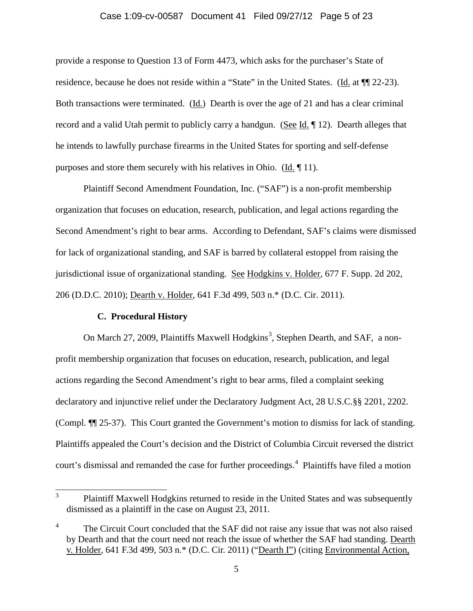### Case 1:09-cv-00587 Document 41 Filed 09/27/12 Page 5 of 23

provide a response to Question 13 of Form 4473, which asks for the purchaser's State of residence, because he does not reside within a "State" in the United States. (Id. at  $\P$ [22-23). Both transactions were terminated. (Id.) Dearth is over the age of 21 and has a clear criminal record and a valid Utah permit to publicly carry a handgun. (See Id. ¶ 12). Dearth alleges that he intends to lawfully purchase firearms in the United States for sporting and self-defense purposes and store them securely with his relatives in Ohio. (Id. ¶ 11).

Plaintiff Second Amendment Foundation, Inc. ("SAF") is a non-profit membership organization that focuses on education, research, publication, and legal actions regarding the Second Amendment's right to bear arms. According to Defendant, SAF's claims were dismissed for lack of organizational standing, and SAF is barred by collateral estoppel from raising the jurisdictional issue of organizational standing. See Hodgkins v. Holder, 677 F. Supp. 2d 202, 206 (D.D.C. 2010); Dearth v. Holder, 641 F.3d 499, 503 n.\* (D.C. Cir. 2011).

#### **C. Procedural History**

On March 27, 2009, Plaintiffs Maxwell Hodgkins<sup>3</sup>, Stephen Dearth, and SAF, a nonprofit membership organization that focuses on education, research, publication, and legal actions regarding the Second Amendment's right to bear arms, filed a complaint seeking declaratory and injunctive relief under the Declaratory Judgment Act, 28 U.S.C.§§ 2201, 2202. (Compl. ¶¶ 25-37). This Court granted the Government's motion to dismiss for lack of standing. Plaintiffs appealed the Court's decision and the District of Columbia Circuit reversed the district court's dismissal and remanded the case for further proceedings.<sup>4</sup> Plaintiffs have filed a motion

<sup>&</sup>lt;sup>3</sup> Plaintiff Maxwell Hodgkins returned to reside in the United States and was subsequently dismissed as a plaintiff in the case on August 23, 2011.

<sup>4</sup> The Circuit Court concluded that the SAF did not raise any issue that was not also raised by Dearth and that the court need not reach the issue of whether the SAF had standing. Dearth v. Holder, 641 F.3d 499, 503 n.\* (D.C. Cir. 2011) ("Dearth I") (citing Environmental Action,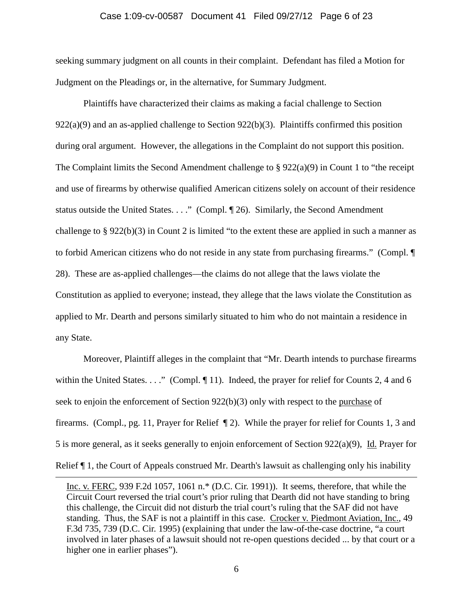#### Case 1:09-cv-00587 Document 41 Filed 09/27/12 Page 6 of 23

seeking summary judgment on all counts in their complaint. Defendant has filed a Motion for Judgment on the Pleadings or, in the alternative, for Summary Judgment.

Plaintiffs have characterized their claims as making a facial challenge to Section  $922(a)(9)$  and an as-applied challenge to Section  $922(b)(3)$ . Plaintiffs confirmed this position during oral argument. However, the allegations in the Complaint do not support this position. The Complaint limits the Second Amendment challenge to § 922(a)(9) in Count 1 to "the receipt and use of firearms by otherwise qualified American citizens solely on account of their residence status outside the United States. . . ." (Compl. ¶ 26). Similarly, the Second Amendment challenge to § 922(b)(3) in Count 2 is limited "to the extent these are applied in such a manner as to forbid American citizens who do not reside in any state from purchasing firearms." (Compl. ¶ 28). These are as-applied challenges—the claims do not allege that the laws violate the Constitution as applied to everyone; instead, they allege that the laws violate the Constitution as applied to Mr. Dearth and persons similarly situated to him who do not maintain a residence in any State.

Moreover, Plaintiff alleges in the complaint that "Mr. Dearth intends to purchase firearms within the United States. . . ." (Compl. ¶ 11). Indeed, the prayer for relief for Counts 2, 4 and 6 seek to enjoin the enforcement of Section 922(b)(3) only with respect to the purchase of firearms. (Compl., pg. 11, Prayer for Relief ¶ 2). While the prayer for relief for Counts 1, 3 and 5 is more general, as it seeks generally to enjoin enforcement of Section 922(a)(9), Id. Prayer for Relief  $\P$  1, the Court of Appeals construed Mr. Dearth's lawsuit as challenging only his inability

 $\overline{a}$ 

Inc. v. FERC, 939 F.2d 1057, 1061 n.\* (D.C. Cir. 1991)). It seems, therefore, that while the Circuit Court reversed the trial court's prior ruling that Dearth did not have standing to bring this challenge, the Circuit did not disturb the trial court's ruling that the SAF did not have standing. Thus, the SAF is not a plaintiff in this case. Crocker v. Piedmont Aviation, Inc., 49 F.3d 735, 739 (D.C. Cir. 1995) (explaining that under the law-of-the-case doctrine, "a court involved in later phases of a lawsuit should not re-open questions decided ... by that court or a higher one in earlier phases").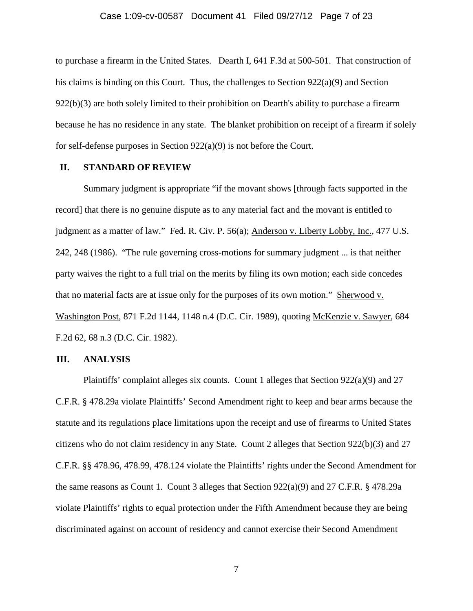#### Case 1:09-cv-00587 Document 41 Filed 09/27/12 Page 7 of 23

to purchase a firearm in the United States. Dearth I, 641 F.3d at 500-501. That construction of his claims is binding on this Court. Thus, the challenges to Section 922(a)(9) and Section  $922(b)(3)$  are both solely limited to their prohibition on Dearth's ability to purchase a firearm because he has no residence in any state. The blanket prohibition on receipt of a firearm if solely for self-defense purposes in Section 922(a)(9) is not before the Court.

### **II. STANDARD OF REVIEW**

Summary judgment is appropriate "if the movant shows [through facts supported in the record] that there is no genuine dispute as to any material fact and the movant is entitled to judgment as a matter of law." Fed. R. Civ. P. 56(a); Anderson v. Liberty Lobby, Inc., 477 U.S. 242, 248 (1986). "The rule governing cross-motions for summary judgment ... is that neither party waives the right to a full trial on the merits by filing its own motion; each side concedes that no material facts are at issue only for the purposes of its own motion." Sherwood v. Washington Post, 871 F.2d 1144, 1148 n.4 (D.C. Cir. 1989), quoting McKenzie v. Sawyer, 684 F.2d 62, 68 n.3 (D.C. Cir. 1982).

### **III. ANALYSIS**

Plaintiffs' complaint alleges six counts. Count 1 alleges that Section 922(a)(9) and 27 C.F.R. § 478.29a violate Plaintiffs' Second Amendment right to keep and bear arms because the statute and its regulations place limitations upon the receipt and use of firearms to United States citizens who do not claim residency in any State. Count 2 alleges that Section 922(b)(3) and 27 C.F.R. §§ 478.96, 478.99, 478.124 violate the Plaintiffs' rights under the Second Amendment for the same reasons as Count 1. Count 3 alleges that Section  $922(a)(9)$  and  $27$  C.F.R. § 478.29a violate Plaintiffs' rights to equal protection under the Fifth Amendment because they are being discriminated against on account of residency and cannot exercise their Second Amendment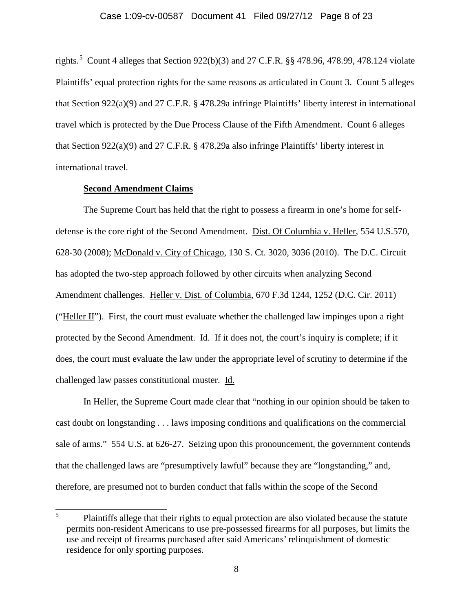#### Case 1:09-cv-00587 Document 41 Filed 09/27/12 Page 8 of 23

rights.<sup>5</sup> Count 4 alleges that Section 922(b)(3) and 27 C.F.R. §§ 478.96, 478.99, 478.124 violate Plaintiffs' equal protection rights for the same reasons as articulated in Count 3. Count 5 alleges that Section 922(a)(9) and 27 C.F.R. § 478.29a infringe Plaintiffs' liberty interest in international travel which is protected by the Due Process Clause of the Fifth Amendment. Count 6 alleges that Section 922(a)(9) and 27 C.F.R. § 478.29a also infringe Plaintiffs' liberty interest in international travel.

### **Second Amendment Claims**

The Supreme Court has held that the right to possess a firearm in one's home for selfdefense is the core right of the Second Amendment. Dist. Of Columbia v. Heller, 554 U.S.570, 628-30 (2008); McDonald v. City of Chicago, 130 S. Ct. 3020, 3036 (2010). The D.C. Circuit has adopted the two-step approach followed by other circuits when analyzing Second Amendment challenges. Heller v. Dist. of Columbia, 670 F.3d 1244, 1252 (D.C. Cir. 2011) ("Heller II"). First, the court must evaluate whether the challenged law impinges upon a right protected by the Second Amendment. Id. If it does not, the court's inquiry is complete; if it does, the court must evaluate the law under the appropriate level of scrutiny to determine if the challenged law passes constitutional muster. Id.

In Heller, the Supreme Court made clear that "nothing in our opinion should be taken to cast doubt on longstanding . . . laws imposing conditions and qualifications on the commercial sale of arms." 554 U.S. at 626-27. Seizing upon this pronouncement, the government contends that the challenged laws are "presumptively lawful" because they are "longstanding," and, therefore, are presumed not to burden conduct that falls within the scope of the Second

 <sup>5</sup> Plaintiffs allege that their rights to equal protection are also violated because the statute permits non-resident Americans to use pre-possessed firearms for all purposes, but limits the use and receipt of firearms purchased after said Americans' relinquishment of domestic residence for only sporting purposes.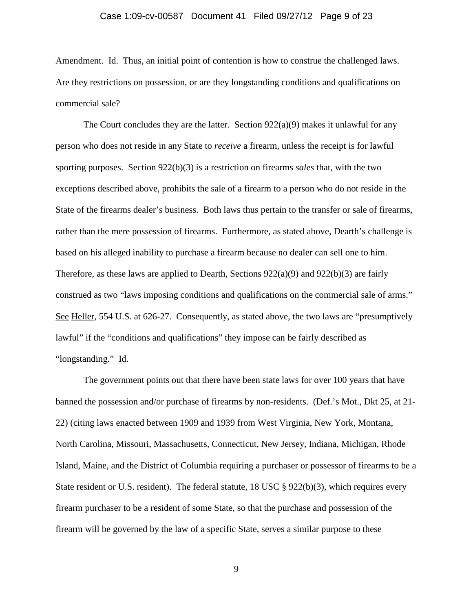#### Case 1:09-cv-00587 Document 41 Filed 09/27/12 Page 9 of 23

Amendment. Id. Thus, an initial point of contention is how to construe the challenged laws. Are they restrictions on possession, or are they longstanding conditions and qualifications on commercial sale?

The Court concludes they are the latter. Section  $922(a)(9)$  makes it unlawful for any person who does not reside in any State to *receive* a firearm, unless the receipt is for lawful sporting purposes. Section 922(b)(3) is a restriction on firearms *sales* that, with the two exceptions described above, prohibits the sale of a firearm to a person who do not reside in the State of the firearms dealer's business. Both laws thus pertain to the transfer or sale of firearms, rather than the mere possession of firearms. Furthermore, as stated above, Dearth's challenge is based on his alleged inability to purchase a firearm because no dealer can sell one to him. Therefore, as these laws are applied to Dearth, Sections 922(a)(9) and 922(b)(3) are fairly construed as two "laws imposing conditions and qualifications on the commercial sale of arms." See Heller, 554 U.S. at 626-27. Consequently, as stated above, the two laws are "presumptively lawful" if the "conditions and qualifications" they impose can be fairly described as "longstanding." Id.

The government points out that there have been state laws for over 100 years that have banned the possession and/or purchase of firearms by non-residents. (Def.'s Mot., Dkt 25, at 21- 22) (citing laws enacted between 1909 and 1939 from West Virginia, New York, Montana, North Carolina, Missouri, Massachusetts, Connecticut, New Jersey, Indiana, Michigan, Rhode Island, Maine, and the District of Columbia requiring a purchaser or possessor of firearms to be a State resident or U.S. resident). The federal statute,  $18 \text{ USC} \text{ } \$ 922(b)(3)$ , which requires every firearm purchaser to be a resident of some State, so that the purchase and possession of the firearm will be governed by the law of a specific State, serves a similar purpose to these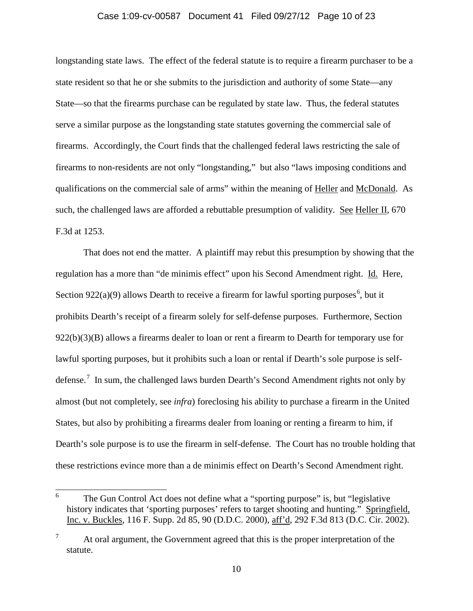### Case 1:09-cv-00587 Document 41 Filed 09/27/12 Page 10 of 23

longstanding state laws. The effect of the federal statute is to require a firearm purchaser to be a state resident so that he or she submits to the jurisdiction and authority of some State—any State—so that the firearms purchase can be regulated by state law. Thus, the federal statutes serve a similar purpose as the longstanding state statutes governing the commercial sale of firearms. Accordingly, the Court finds that the challenged federal laws restricting the sale of firearms to non-residents are not only "longstanding," but also "laws imposing conditions and qualifications on the commercial sale of arms" within the meaning of Heller and McDonald. As such, the challenged laws are afforded a rebuttable presumption of validity. See Heller II, 670 F.3d at 1253.

That does not end the matter. A plaintiff may rebut this presumption by showing that the regulation has a more than "de minimis effect" upon his Second Amendment right. Id. Here, Section 922(a)(9) allows Dearth to receive a firearm for lawful sporting purposes<sup>6</sup>, but it prohibits Dearth's receipt of a firearm solely for self-defense purposes. Furthermore, Section  $922(b)(3)(B)$  allows a firearms dealer to loan or rent a firearm to Dearth for temporary use for lawful sporting purposes, but it prohibits such a loan or rental if Dearth's sole purpose is selfdefense.<sup>7</sup> In sum, the challenged laws burden Dearth's Second Amendment rights not only by almost (but not completely, see *infra*) foreclosing his ability to purchase a firearm in the United States, but also by prohibiting a firearms dealer from loaning or renting a firearm to him, if Dearth's sole purpose is to use the firearm in self-defense. The Court has no trouble holding that these restrictions evince more than a de minimis effect on Dearth's Second Amendment right.

 <sup>6</sup> The Gun Control Act does not define what a "sporting purpose" is, but "legislative history indicates that 'sporting purposes' refers to target shooting and hunting." Springfield, Inc. v. Buckles, 116 F. Supp. 2d 85, 90 (D.D.C. 2000), aff'd, 292 F.3d 813 (D.C. Cir. 2002).

<sup>&</sup>lt;sup>7</sup> At oral argument, the Government agreed that this is the proper interpretation of the statute.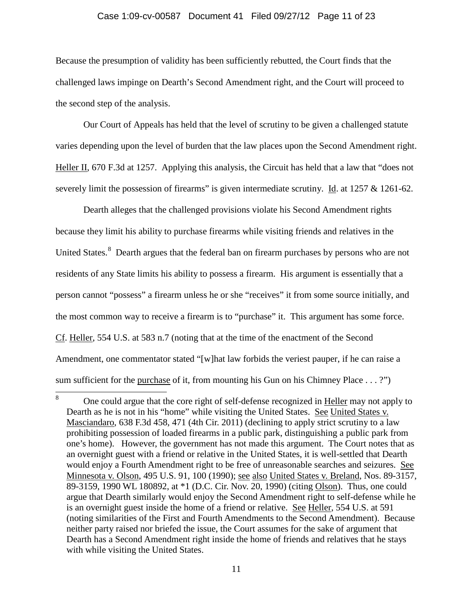### Case 1:09-cv-00587 Document 41 Filed 09/27/12 Page 11 of 23

Because the presumption of validity has been sufficiently rebutted, the Court finds that the challenged laws impinge on Dearth's Second Amendment right, and the Court will proceed to the second step of the analysis.

Our Court of Appeals has held that the level of scrutiny to be given a challenged statute varies depending upon the level of burden that the law places upon the Second Amendment right. Heller II, 670 F.3d at 1257. Applying this analysis, the Circuit has held that a law that "does not severely limit the possession of firearms" is given intermediate scrutiny. Id. at 1257 & 1261-62.

Dearth alleges that the challenged provisions violate his Second Amendment rights because they limit his ability to purchase firearms while visiting friends and relatives in the United States.<sup>8</sup> Dearth argues that the federal ban on firearm purchases by persons who are not residents of any State limits his ability to possess a firearm. His argument is essentially that a person cannot "possess" a firearm unless he or she "receives" it from some source initially, and the most common way to receive a firearm is to "purchase" it. This argument has some force. Cf. Heller, 554 U.S. at 583 n.7 (noting that at the time of the enactment of the Second Amendment, one commentator stated "[w]hat law forbids the veriest pauper, if he can raise a sum sufficient for the purchase of it, from mounting his Gun on his Chimney Place . . . ?")

<sup>&</sup>lt;sup>8</sup> One could argue that the core right of self-defense recognized in Heller may not apply to Dearth as he is not in his "home" while visiting the United States. See United States v. Masciandaro, 638 F.3d 458, 471 (4th Cir. 2011) (declining to apply strict scrutiny to a law prohibiting possession of loaded firearms in a public park, distinguishing a public park from one's home). However, the government has not made this argument. The Court notes that as an overnight guest with a friend or relative in the United States, it is well-settled that Dearth would enjoy a Fourth Amendment right to be free of unreasonable searches and seizures. See Minnesota v. Olson, 495 U.S. 91, 100 (1990); see also United States v. Breland, Nos. 89-3157, 89-3159, 1990 WL 180892, at \*1 (D.C. Cir. Nov. 20, 1990) (citing Olson). Thus, one could argue that Dearth similarly would enjoy the Second Amendment right to self-defense while he is an overnight guest inside the home of a friend or relative. See Heller, 554 U.S. at 591 (noting similarities of the First and Fourth Amendments to the Second Amendment). Because neither party raised nor briefed the issue, the Court assumes for the sake of argument that Dearth has a Second Amendment right inside the home of friends and relatives that he stays with while visiting the United States.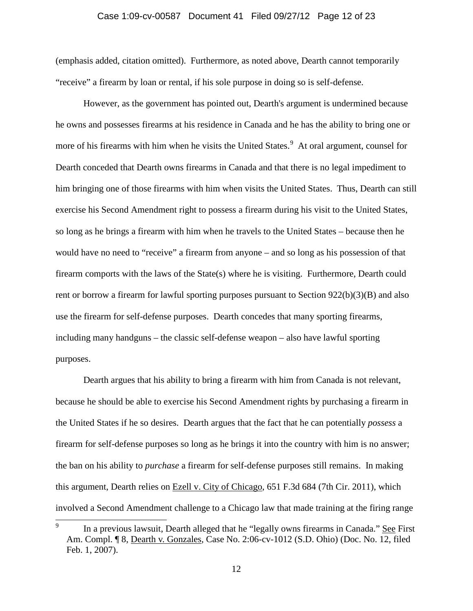## Case 1:09-cv-00587 Document 41 Filed 09/27/12 Page 12 of 23

(emphasis added, citation omitted). Furthermore, as noted above, Dearth cannot temporarily "receive" a firearm by loan or rental, if his sole purpose in doing so is self-defense.

However, as the government has pointed out, Dearth's argument is undermined because he owns and possesses firearms at his residence in Canada and he has the ability to bring one or more of his firearms with him when he visits the United States.<sup>9</sup> At oral argument, counsel for Dearth conceded that Dearth owns firearms in Canada and that there is no legal impediment to him bringing one of those firearms with him when visits the United States. Thus, Dearth can still exercise his Second Amendment right to possess a firearm during his visit to the United States, so long as he brings a firearm with him when he travels to the United States – because then he would have no need to "receive" a firearm from anyone – and so long as his possession of that firearm comports with the laws of the State(s) where he is visiting. Furthermore, Dearth could rent or borrow a firearm for lawful sporting purposes pursuant to Section  $922(b)(3)(B)$  and also use the firearm for self-defense purposes. Dearth concedes that many sporting firearms, including many handguns – the classic self-defense weapon – also have lawful sporting purposes.

Dearth argues that his ability to bring a firearm with him from Canada is not relevant, because he should be able to exercise his Second Amendment rights by purchasing a firearm in the United States if he so desires. Dearth argues that the fact that he can potentially *possess* a firearm for self-defense purposes so long as he brings it into the country with him is no answer; the ban on his ability to *purchase* a firearm for self-defense purposes still remains. In making this argument, Dearth relies on Ezell v. City of Chicago, 651 F.3d 684 (7th Cir. 2011), which involved a Second Amendment challenge to a Chicago law that made training at the firing range

<sup>&</sup>lt;sup>9</sup> In a previous lawsuit, Dearth alleged that he "legally owns firearms in Canada." See First Am. Compl. ¶ 8, Dearth v. Gonzales, Case No. 2:06-cv-1012 (S.D. Ohio) (Doc. No. 12, filed Feb. 1, 2007).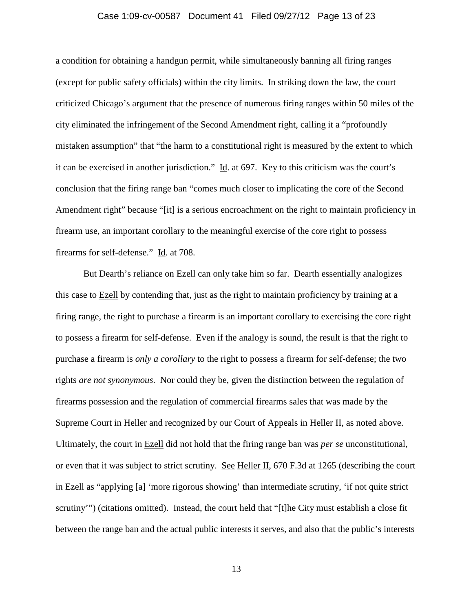## Case 1:09-cv-00587 Document 41 Filed 09/27/12 Page 13 of 23

a condition for obtaining a handgun permit, while simultaneously banning all firing ranges (except for public safety officials) within the city limits. In striking down the law, the court criticized Chicago's argument that the presence of numerous firing ranges within 50 miles of the city eliminated the infringement of the Second Amendment right, calling it a "profoundly mistaken assumption" that "the harm to a constitutional right is measured by the extent to which it can be exercised in another jurisdiction." Id. at 697. Key to this criticism was the court's conclusion that the firing range ban "comes much closer to implicating the core of the Second Amendment right" because "[it] is a serious encroachment on the right to maintain proficiency in firearm use, an important corollary to the meaningful exercise of the core right to possess firearms for self-defense." Id. at 708.

But Dearth's reliance on Ezell can only take him so far. Dearth essentially analogizes this case to Ezell by contending that, just as the right to maintain proficiency by training at a firing range, the right to purchase a firearm is an important corollary to exercising the core right to possess a firearm for self-defense. Even if the analogy is sound, the result is that the right to purchase a firearm is *only a corollary* to the right to possess a firearm for self-defense; the two rights *are not synonymous*. Nor could they be, given the distinction between the regulation of firearms possession and the regulation of commercial firearms sales that was made by the Supreme Court in Heller and recognized by our Court of Appeals in Heller II, as noted above. Ultimately, the court in Ezell did not hold that the firing range ban was *per se* unconstitutional, or even that it was subject to strict scrutiny. See Heller II, 670 F.3d at 1265 (describing the court in Ezell as "applying [a] 'more rigorous showing' than intermediate scrutiny, 'if not quite strict scrutiny'") (citations omitted). Instead, the court held that "[t]he City must establish a close fit between the range ban and the actual public interests it serves, and also that the public's interests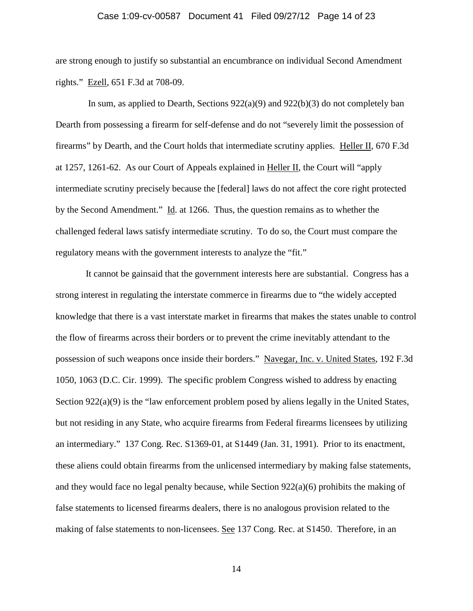## Case 1:09-cv-00587 Document 41 Filed 09/27/12 Page 14 of 23

are strong enough to justify so substantial an encumbrance on individual Second Amendment rights." Ezell, 651 F.3d at 708-09.

In sum, as applied to Dearth, Sections  $922(a)(9)$  and  $922(b)(3)$  do not completely ban Dearth from possessing a firearm for self-defense and do not "severely limit the possession of firearms" by Dearth, and the Court holds that intermediate scrutiny applies. Heller II, 670 F.3d at 1257, 1261-62. As our Court of Appeals explained in Heller II, the Court will "apply intermediate scrutiny precisely because the [federal] laws do not affect the core right protected by the Second Amendment." Id. at 1266. Thus, the question remains as to whether the challenged federal laws satisfy intermediate scrutiny. To do so, the Court must compare the regulatory means with the government interests to analyze the "fit."

It cannot be gainsaid that the government interests here are substantial. Congress has a strong interest in regulating the interstate commerce in firearms due to "the widely accepted knowledge that there is a vast interstate market in firearms that makes the states unable to control the flow of firearms across their borders or to prevent the crime inevitably attendant to the possession of such weapons once inside their borders." Navegar, Inc. v. United States, 192 F.3d 1050, 1063 (D.C. Cir. 1999). The specific problem Congress wished to address by enacting Section 922(a)(9) is the "law enforcement problem posed by aliens legally in the United States, but not residing in any State, who acquire firearms from Federal firearms licensees by utilizing an intermediary." 137 Cong. Rec. S1369-01, at S1449 (Jan. 31, 1991). Prior to its enactment, these aliens could obtain firearms from the unlicensed intermediary by making false statements, and they would face no legal penalty because, while Section  $922(a)(6)$  prohibits the making of false statements to licensed firearms dealers, there is no analogous provision related to the making of false statements to non-licensees. See 137 Cong. Rec. at S1450. Therefore, in an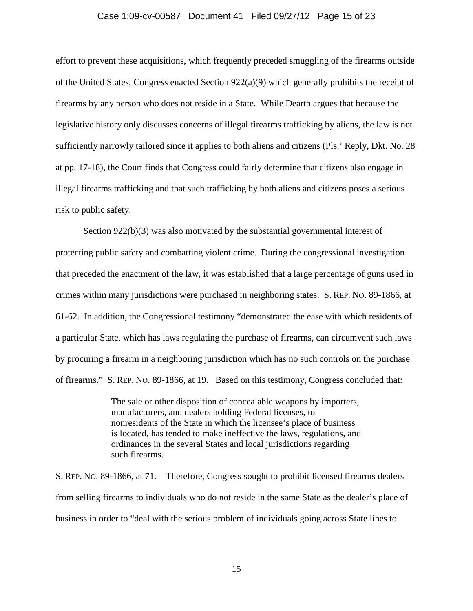#### Case 1:09-cv-00587 Document 41 Filed 09/27/12 Page 15 of 23

effort to prevent these acquisitions, which frequently preceded smuggling of the firearms outside of the United States, Congress enacted Section 922(a)(9) which generally prohibits the receipt of firearms by any person who does not reside in a State. While Dearth argues that because the legislative history only discusses concerns of illegal firearms trafficking by aliens, the law is not sufficiently narrowly tailored since it applies to both aliens and citizens (Pls.' Reply, Dkt. No. 28 at pp. 17-18), the Court finds that Congress could fairly determine that citizens also engage in illegal firearms trafficking and that such trafficking by both aliens and citizens poses a serious risk to public safety.

Section 922(b)(3) was also motivated by the substantial governmental interest of protecting public safety and combatting violent crime. During the congressional investigation that preceded the enactment of the law, it was established that a large percentage of guns used in crimes within many jurisdictions were purchased in neighboring states. S. REP. NO. 89-1866, at 61-62. In addition, the Congressional testimony "demonstrated the ease with which residents of a particular State, which has laws regulating the purchase of firearms, can circumvent such laws by procuring a firearm in a neighboring jurisdiction which has no such controls on the purchase of firearms." S. REP. NO. 89-1866, at 19. Based on this testimony, Congress concluded that:

> The sale or other disposition of concealable weapons by importers, manufacturers, and dealers holding Federal licenses, to nonresidents of the State in which the licensee's place of business is located, has tended to make ineffective the laws, regulations, and ordinances in the several States and local jurisdictions regarding such firearms.

S. REP. NO. 89-1866, at 71. Therefore, Congress sought to prohibit licensed firearms dealers from selling firearms to individuals who do not reside in the same State as the dealer's place of business in order to "deal with the serious problem of individuals going across State lines to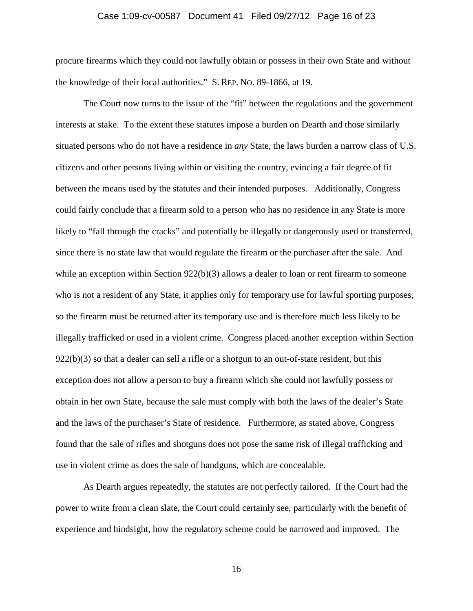## Case 1:09-cv-00587 Document 41 Filed 09/27/12 Page 16 of 23

procure firearms which they could not lawfully obtain or possess in their own State and without the knowledge of their local authorities." S. REP. NO. 89-1866, at 19.

The Court now turns to the issue of the "fit" between the regulations and the government interests at stake. To the extent these statutes impose a burden on Dearth and those similarly situated persons who do not have a residence in *any* State, the laws burden a narrow class of U.S. citizens and other persons living within or visiting the country, evincing a fair degree of fit between the means used by the statutes and their intended purposes. Additionally, Congress could fairly conclude that a firearm sold to a person who has no residence in any State is more likely to "fall through the cracks" and potentially be illegally or dangerously used or transferred, since there is no state law that would regulate the firearm or the purchaser after the sale. And while an exception within Section 922(b)(3) allows a dealer to loan or rent firearm to someone who is not a resident of any State, it applies only for temporary use for lawful sporting purposes, so the firearm must be returned after its temporary use and is therefore much less likely to be illegally trafficked or used in a violent crime. Congress placed another exception within Section  $922(b)(3)$  so that a dealer can sell a rifle or a shotgun to an out-of-state resident, but this exception does not allow a person to buy a firearm which she could not lawfully possess or obtain in her own State, because the sale must comply with both the laws of the dealer's State and the laws of the purchaser's State of residence. Furthermore, as stated above, Congress found that the sale of rifles and shotguns does not pose the same risk of illegal trafficking and use in violent crime as does the sale of handguns, which are concealable.

As Dearth argues repeatedly, the statutes are not perfectly tailored. If the Court had the power to write from a clean slate, the Court could certainly see, particularly with the benefit of experience and hindsight, how the regulatory scheme could be narrowed and improved. The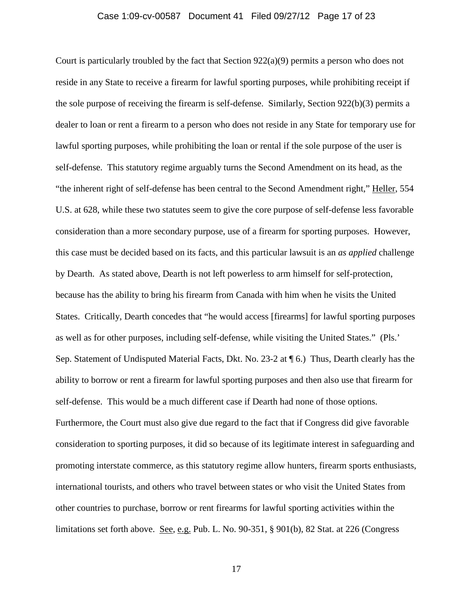#### Case 1:09-cv-00587 Document 41 Filed 09/27/12 Page 17 of 23

Court is particularly troubled by the fact that Section 922(a)(9) permits a person who does not reside in any State to receive a firearm for lawful sporting purposes, while prohibiting receipt if the sole purpose of receiving the firearm is self-defense. Similarly, Section 922(b)(3) permits a dealer to loan or rent a firearm to a person who does not reside in any State for temporary use for lawful sporting purposes, while prohibiting the loan or rental if the sole purpose of the user is self-defense. This statutory regime arguably turns the Second Amendment on its head, as the "the inherent right of self-defense has been central to the Second Amendment right," Heller, 554 U.S. at 628, while these two statutes seem to give the core purpose of self-defense less favorable consideration than a more secondary purpose, use of a firearm for sporting purposes. However, this case must be decided based on its facts, and this particular lawsuit is an *as applied* challenge by Dearth. As stated above, Dearth is not left powerless to arm himself for self-protection, because has the ability to bring his firearm from Canada with him when he visits the United States. Critically, Dearth concedes that "he would access [firearms] for lawful sporting purposes as well as for other purposes, including self-defense, while visiting the United States." (Pls.' Sep. Statement of Undisputed Material Facts, Dkt. No. 23-2 at ¶ 6.) Thus, Dearth clearly has the ability to borrow or rent a firearm for lawful sporting purposes and then also use that firearm for self-defense. This would be a much different case if Dearth had none of those options. Furthermore, the Court must also give due regard to the fact that if Congress did give favorable consideration to sporting purposes, it did so because of its legitimate interest in safeguarding and promoting interstate commerce, as this statutory regime allow hunters, firearm sports enthusiasts, international tourists, and others who travel between states or who visit the United States from other countries to purchase, borrow or rent firearms for lawful sporting activities within the limitations set forth above. See, e.g. Pub. L. No.  $90-351$ ,  $\S 901(b)$ , 82 Stat. at 226 (Congress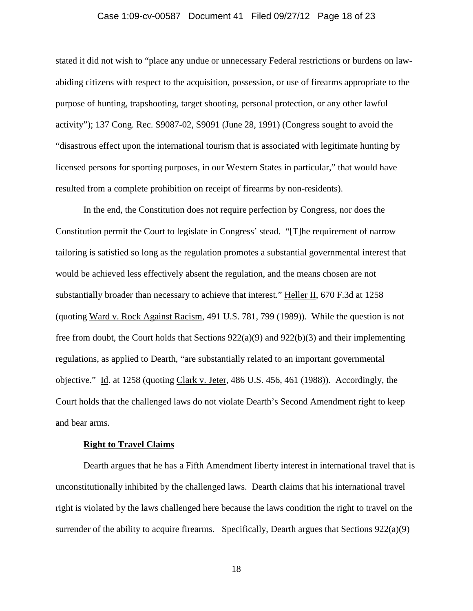#### Case 1:09-cv-00587 Document 41 Filed 09/27/12 Page 18 of 23

stated it did not wish to "place any undue or unnecessary Federal restrictions or burdens on lawabiding citizens with respect to the acquisition, possession, or use of firearms appropriate to the purpose of hunting, trapshooting, target shooting, personal protection, or any other lawful activity"); 137 Cong. Rec. S9087-02, S9091 (June 28, 1991) (Congress sought to avoid the "disastrous effect upon the international tourism that is associated with legitimate hunting by licensed persons for sporting purposes, in our Western States in particular," that would have resulted from a complete prohibition on receipt of firearms by non-residents).

In the end, the Constitution does not require perfection by Congress, nor does the Constitution permit the Court to legislate in Congress' stead. "[T]he requirement of narrow tailoring is satisfied so long as the regulation promotes a substantial governmental interest that would be achieved less effectively absent the regulation, and the means chosen are not substantially broader than necessary to achieve that interest." Heller II, 670 F.3d at 1258 (quoting Ward v. Rock Against Racism, 491 U.S. 781, 799 (1989)). While the question is not free from doubt, the Court holds that Sections  $922(a)(9)$  and  $922(b)(3)$  and their implementing regulations, as applied to Dearth, "are substantially related to an important governmental objective." Id. at 1258 (quoting Clark v. Jeter, 486 U.S. 456, 461 (1988)). Accordingly, the Court holds that the challenged laws do not violate Dearth's Second Amendment right to keep and bear arms.

#### **Right to Travel Claims**

Dearth argues that he has a Fifth Amendment liberty interest in international travel that is unconstitutionally inhibited by the challenged laws. Dearth claims that his international travel right is violated by the laws challenged here because the laws condition the right to travel on the surrender of the ability to acquire firearms. Specifically, Dearth argues that Sections  $922(a)(9)$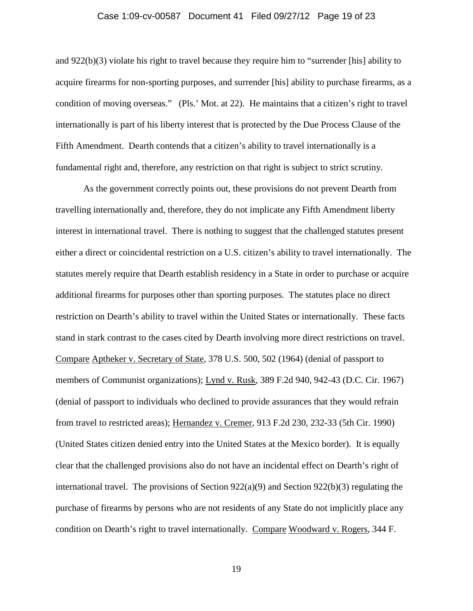#### Case 1:09-cv-00587 Document 41 Filed 09/27/12 Page 19 of 23

and 922(b)(3) violate his right to travel because they require him to "surrender [his] ability to acquire firearms for non-sporting purposes, and surrender [his] ability to purchase firearms, as a condition of moving overseas." (Pls.' Mot. at 22). He maintains that a citizen's right to travel internationally is part of his liberty interest that is protected by the Due Process Clause of the Fifth Amendment. Dearth contends that a citizen's ability to travel internationally is a fundamental right and, therefore, any restriction on that right is subject to strict scrutiny.

As the government correctly points out, these provisions do not prevent Dearth from travelling internationally and, therefore, they do not implicate any Fifth Amendment liberty interest in international travel. There is nothing to suggest that the challenged statutes present either a direct or coincidental restriction on a U.S. citizen's ability to travel internationally. The statutes merely require that Dearth establish residency in a State in order to purchase or acquire additional firearms for purposes other than sporting purposes. The statutes place no direct restriction on Dearth's ability to travel within the United States or internationally. These facts stand in stark contrast to the cases cited by Dearth involving more direct restrictions on travel. Compare Aptheker v. Secretary of State, 378 U.S. 500, 502 (1964) (denial of passport to members of Communist organizations); Lynd v. Rusk, 389 F.2d 940, 942-43 (D.C. Cir. 1967) (denial of passport to individuals who declined to provide assurances that they would refrain from travel to restricted areas); Hernandez v. Cremer, 913 F.2d 230, 232-33 (5th Cir. 1990) (United States citizen denied entry into the United States at the Mexico border). It is equally clear that the challenged provisions also do not have an incidental effect on Dearth's right of international travel. The provisions of Section  $922(a)(9)$  and Section  $922(b)(3)$  regulating the purchase of firearms by persons who are not residents of any State do not implicitly place any condition on Dearth's right to travel internationally. Compare Woodward v. Rogers, 344 F.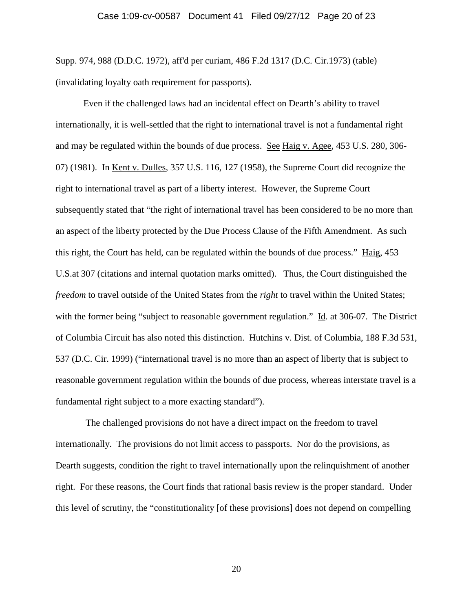Supp. 974, 988 (D.D.C. 1972), aff'd per curiam, 486 F.2d 1317 (D.C. Cir.1973) (table) (invalidating loyalty oath requirement for passports).

Even if the challenged laws had an incidental effect on Dearth's ability to travel internationally, it is well-settled that the right to international travel is not a fundamental right and may be regulated within the bounds of due process. See Haig v. Agee, 453 U.S. 280, 306- 07) (1981). In Kent v. Dulles, 357 U.S. 116, 127 (1958), the Supreme Court did recognize the right to international travel as part of a liberty interest. However, the Supreme Court subsequently stated that "the right of international travel has been considered to be no more than an aspect of the liberty protected by the Due Process Clause of the Fifth Amendment. As such this right, the Court has held, can be regulated within the bounds of due process." Haig, 453 U.S.at 307 (citations and internal quotation marks omitted). Thus, the Court distinguished the *freedom* to travel outside of the United States from the *right* to travel within the United States; with the former being "subject to reasonable government regulation." Id. at 306-07. The District of Columbia Circuit has also noted this distinction. Hutchins v. Dist. of Columbia, 188 F.3d 531, 537 (D.C. Cir. 1999) ("international travel is no more than an aspect of liberty that is subject to reasonable government regulation within the bounds of due process, whereas interstate travel is a fundamental right subject to a more exacting standard").

The challenged provisions do not have a direct impact on the freedom to travel internationally. The provisions do not limit access to passports. Nor do the provisions, as Dearth suggests, condition the right to travel internationally upon the relinquishment of another right. For these reasons, the Court finds that rational basis review is the proper standard. Under this level of scrutiny, the "constitutionality [of these provisions] does not depend on compelling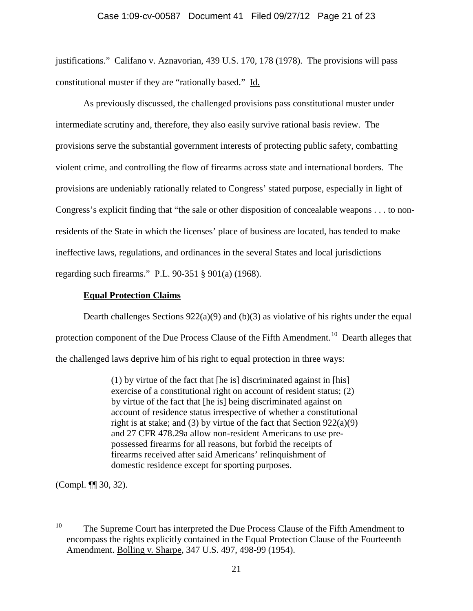justifications." Califano v. Aznavorian, 439 U.S. 170, 178 (1978). The provisions will pass constitutional muster if they are "rationally based." Id.

As previously discussed, the challenged provisions pass constitutional muster under intermediate scrutiny and, therefore, they also easily survive rational basis review. The provisions serve the substantial government interests of protecting public safety, combatting violent crime, and controlling the flow of firearms across state and international borders. The provisions are undeniably rationally related to Congress' stated purpose, especially in light of Congress's explicit finding that "the sale or other disposition of concealable weapons . . . to nonresidents of the State in which the licenses' place of business are located, has tended to make ineffective laws, regulations, and ordinances in the several States and local jurisdictions regarding such firearms." P.L. 90-351 § 901(a) (1968).

# **Equal Protection Claims**

Dearth challenges Sections  $922(a)(9)$  and (b)(3) as violative of his rights under the equal protection component of the Due Process Clause of the Fifth Amendment.<sup>10</sup> Dearth alleges that the challenged laws deprive him of his right to equal protection in three ways:

> (1) by virtue of the fact that [he is] discriminated against in [his] exercise of a constitutional right on account of resident status; (2) by virtue of the fact that [he is] being discriminated against on account of residence status irrespective of whether a constitutional right is at stake; and (3) by virtue of the fact that Section  $922(a)(9)$ and 27 CFR 478.29a allow non-resident Americans to use prepossessed firearms for all reasons, but forbid the receipts of firearms received after said Americans' relinquishment of domestic residence except for sporting purposes.

(Compl. ¶¶ 30, 32).

<sup>&</sup>lt;sup>10</sup> The Supreme Court has interpreted the Due Process Clause of the Fifth Amendment to encompass the rights explicitly contained in the Equal Protection Clause of the Fourteenth Amendment. Bolling v. Sharpe, 347 U.S. 497, 498-99 (1954).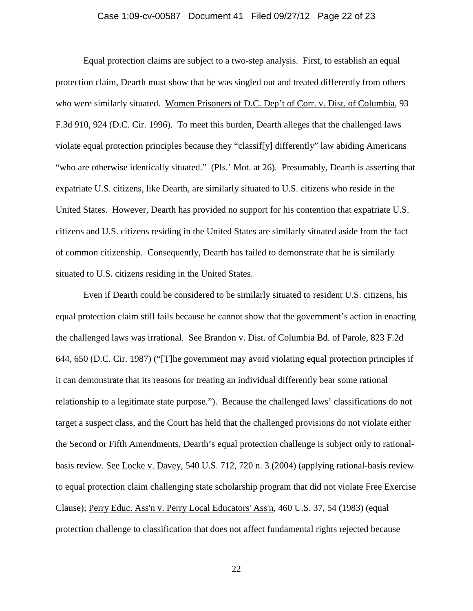## Case 1:09-cv-00587 Document 41 Filed 09/27/12 Page 22 of 23

Equal protection claims are subject to a two-step analysis. First, to establish an equal protection claim, Dearth must show that he was singled out and treated differently from others who were similarly situated. Women Prisoners of D.C. Dep't of Corr. v. Dist. of Columbia, 93 F.3d 910, 924 (D.C. Cir. 1996). To meet this burden, Dearth alleges that the challenged laws violate equal protection principles because they "classif[y] differently" law abiding Americans "who are otherwise identically situated." (Pls.' Mot. at 26). Presumably, Dearth is asserting that expatriate U.S. citizens, like Dearth, are similarly situated to U.S. citizens who reside in the United States. However, Dearth has provided no support for his contention that expatriate U.S. citizens and U.S. citizens residing in the United States are similarly situated aside from the fact of common citizenship. Consequently, Dearth has failed to demonstrate that he is similarly situated to U.S. citizens residing in the United States.

Even if Dearth could be considered to be similarly situated to resident U.S. citizens, his equal protection claim still fails because he cannot show that the government's action in enacting the challenged laws was irrational. See Brandon v. Dist. of Columbia Bd. of Parole, 823 F.2d 644, 650 (D.C. Cir. 1987) ("[T]he government may avoid violating equal protection principles if it can demonstrate that its reasons for treating an individual differently bear some rational relationship to a legitimate state purpose."). Because the challenged laws' classifications do not target a suspect class, and the Court has held that the challenged provisions do not violate either the Second or Fifth Amendments, Dearth's equal protection challenge is subject only to rationalbasis review. See Locke v. Davey, 540 U.S. 712, 720 n. 3 (2004) (applying rational-basis review to equal protection claim challenging state scholarship program that did not violate Free Exercise Clause); Perry Educ. Ass'n v. Perry Local Educators' Ass'n, 460 U.S. 37, 54 (1983) (equal protection challenge to classification that does not affect fundamental rights rejected because